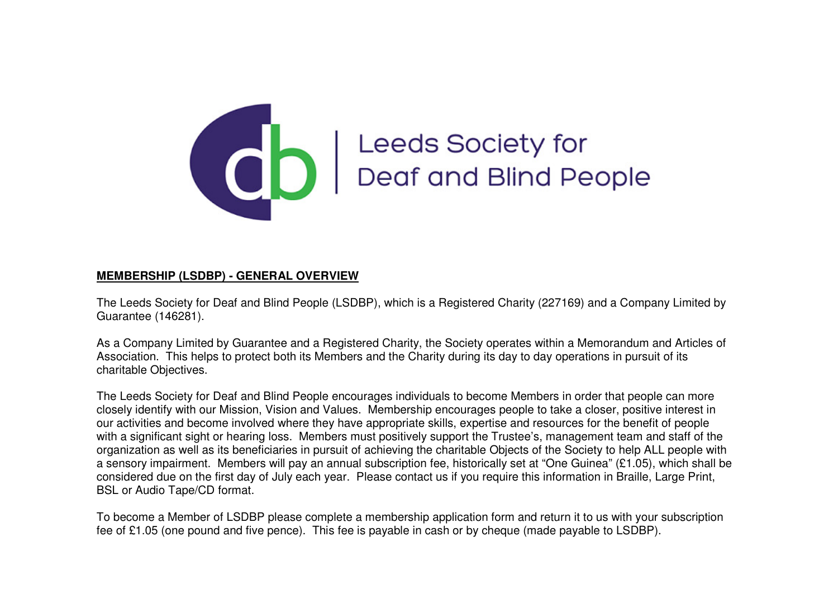

## **COO** Leeds Society for<br>Deaf and Blind People

## **MEMBERSHIP (LSDBP) - GENERAL OVERVIEW**

The Leeds Society for Deaf and Blind People (LSDBP), which is a Registered Charity (227169) and a Company Limited by Guarantee (146281).

As a Company Limited by Guarantee and a Registered Charity, the Society operates within a Memorandum and Articles of Association. This helps to protect both its Members and the Charity during its day to day operations in pursuit of its charitable Objectives.

The Leeds Society for Deaf and Blind People encourages individuals to become Members in order that people can more closely identify with our Mission, Vision and Values. Membership encourages people to take a closer, positive interest in our activities and become involved where they have appropriate skills, expertise and resources for the benefit of people with a significant sight or hearing loss. Members must positively support the Trustee's, management team and staff of the organization as well as its beneficiaries in pursuit of achieving the charitable Objects of the Society to help ALL people with a sensory impairment. Members will pay an annual subscription fee, historically set at "One Guinea" (£1.05), which shall be considered due on the first day of July each year. Please contact us if you require this information in Braille, Large Print, BSL or Audio Tape/CD format.

To become a Member of LSDBP please complete a membership application form and return it to us with your subscription fee of £1.05 (one pound and five pence). This fee is payable in cash or by cheque (made payable to LSDBP).